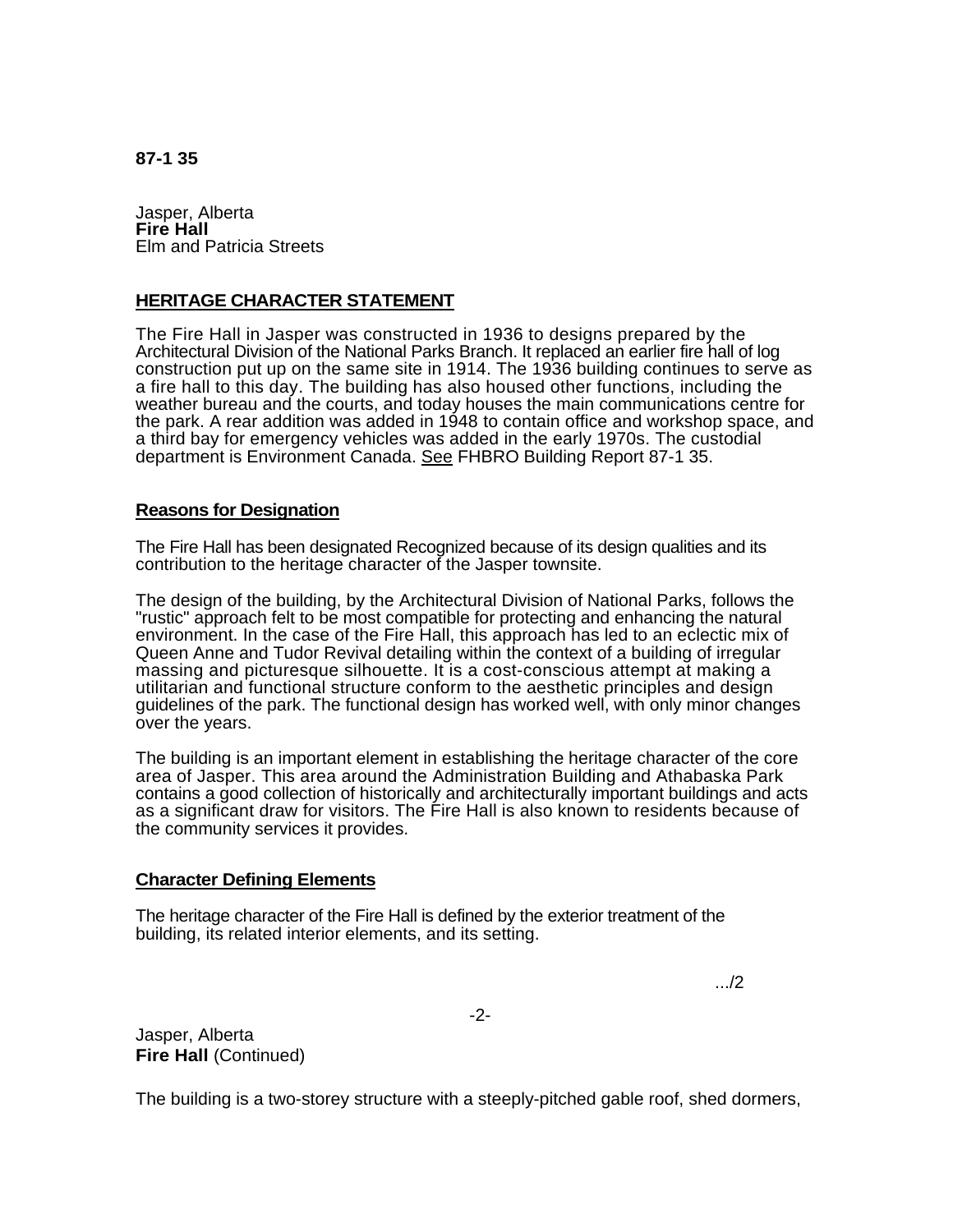**87-1 35** 

Jasper, Alberta **Fire Hall**  Elm and Patricia Streets

## **HERITAGE CHARACTER STATEMENT**

The Fire Hall in Jasper was constructed in 1936 to designs prepared by the Architectural Division of the National Parks Branch. It replaced an earlier fire hall of log construction put up on the same site in 1914. The 1936 building continues to serve as a fire hall to this day. The building has also housed other functions, including the weather bureau and the courts, and today houses the main communications centre for the park. A rear addition was added in 1948 to contain office and workshop space, and a third bay for emergency vehicles was added in the early 1970s. The custodial department is Environment Canada. See FHBRO Building Report 87-1 35.

## **Reasons for Designation**

The Fire Hall has been designated Recognized because of its design qualities and its contribution to the heritage character of the Jasper townsite.

The design of the building, by the Architectural Division of National Parks, follows the "rustic" approach felt to be most compatible for protecting and enhancing the natural environment. In the case of the Fire Hall, this approach has led to an eclectic mix of Queen Anne and Tudor Revival detailing within the context of a building of irregular massing and picturesque silhouette. It is a cost-conscious attempt at making a utilitarian and functional structure conform to the aesthetic principles and design guidelines of the park. The functional design has worked well, with only minor changes over the years.

The building is an important element in establishing the heritage character of the core area of Jasper. This area around the Administration Building and Athabaska Park contains a good collection of historically and architecturally important buildings and acts as a significant draw for visitors. The Fire Hall is also known to residents because of the community services it provides.

## **Character Defining Elements**

The heritage character of the Fire Hall is defined by the exterior treatment of the building, its related interior elements, and its setting.

.../2

Jasper, Alberta **Fire Hall (Continued)** 

The building is a two-storey structure with a steeply-pitched gable roof, shed dormers,

-2-